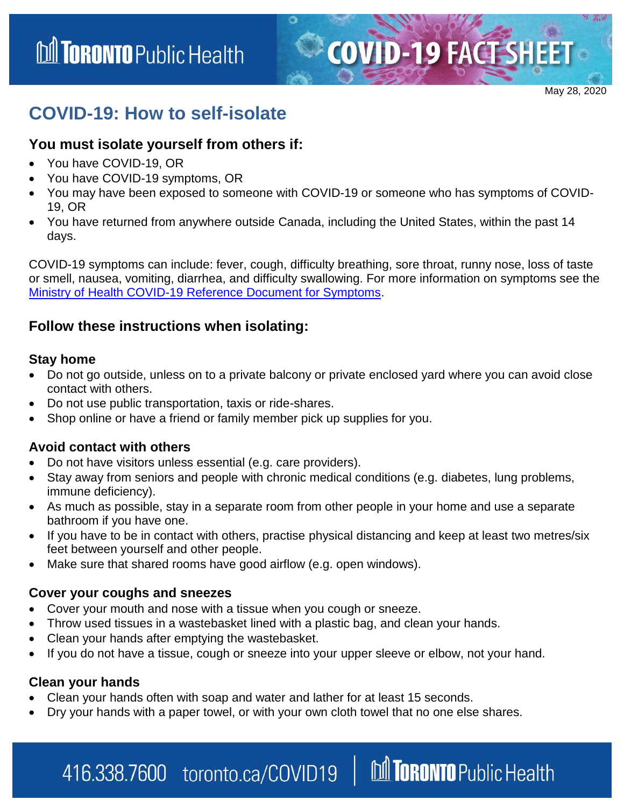May 28, 2020

**COVID-19 FACT SHEET** 

# **COVID-19: How to self-isolate**

### **You must isolate yourself from others if:**

- You have COVID-19, OR
- You have COVID-19 symptoms, OR
- You may have been exposed to someone with COVID-19 or someone who has symptoms of COVID-19, OR
- You have returned from anywhere outside Canada, including the United States, within the past 14 days.

COVID-19 symptoms can include: fever, cough, difficulty breathing, sore throat, runny nose, loss of taste or smell, nausea, vomiting, diarrhea, and difficulty swallowing. For more information on symptoms see the [Ministry of Health COVID-19 Reference Document for Symptoms.](http://www.health.gov.on.ca/en/pro/programs/publichealth/coronavirus/docs/2019_reference_doc_symptoms.pdf)

# **Follow these instructions when isolating:**

#### **Stay home**

- Do not go outside, unless on to a private balcony or private enclosed yard where you can avoid close contact with others.
- Do not use public transportation, taxis or ride-shares.
- Shop online or have a friend or family member pick up supplies for you.

#### **Avoid contact with others**

- Do not have visitors unless essential (e.g. care providers).
- Stay away from seniors and people with chronic medical conditions (e.g. diabetes, lung problems, immune deficiency).
- As much as possible, stay in a separate room from other people in your home and use a separate bathroom if you have one.
- If you have to be in contact with others, practise physical distancing and keep at least two metres/six feet between yourself and other people.
- Make sure that shared rooms have good airflow (e.g. open windows).

#### **Cover your coughs and sneezes**

- Cover your mouth and nose with a tissue when you cough or sneeze.
- Throw used tissues in a wastebasket lined with a plastic bag, and clean your hands.
- Clean your hands after emptying the wastebasket.
- If you do not have a tissue, cough or sneeze into your upper sleeve or elbow, not your hand.

#### **Clean your hands**

- Clean your hands often with soap and water and lather for at least 15 seconds.
- Dry your hands with a paper towel, or with your own cloth towel that no one else shares.

### M TORONTO Public Health 416.338.7600 toronto.ca/COVID19 |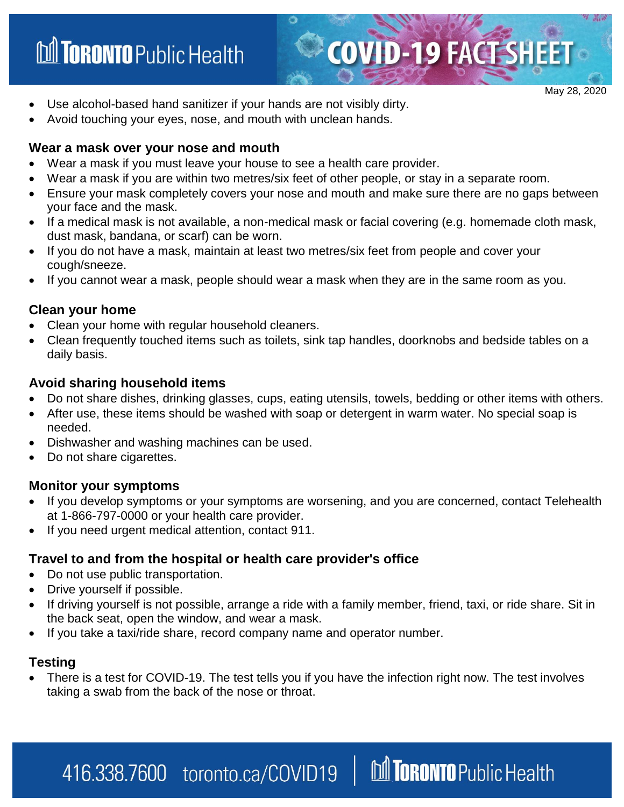# **M TORONTO** Public Health

May 28, 2020

**COVID-19 FACT SHEET** 

- Use alcohol-based hand sanitizer if your hands are not visibly dirty.
- Avoid touching your eyes, nose, and mouth with unclean hands.

#### **Wear a mask over your nose and mouth**

- Wear a mask if you must leave your house to see a health care provider.
- Wear a mask if you are within two metres/six feet of other people, or stay in a separate room.
- Ensure your mask completely covers your nose and mouth and make sure there are no gaps between your face and the mask.
- If a medical mask is not available, a non-medical mask or facial covering (e.g. homemade cloth mask, dust mask, bandana, or scarf) can be worn.
- If you do not have a mask, maintain at least two metres/six feet from people and cover your cough/sneeze.
- If you cannot wear a mask, people should wear a mask when they are in the same room as you.

### **Clean your home**

- Clean your home with regular household cleaners.
- Clean frequently touched items such as toilets, sink tap handles, doorknobs and bedside tables on a daily basis.

#### **Avoid sharing household items**

- Do not share dishes, drinking glasses, cups, eating utensils, towels, bedding or other items with others.
- After use, these items should be washed with soap or detergent in warm water. No special soap is needed.
- Dishwasher and washing machines can be used.
- Do not share cigarettes.

#### **Monitor your symptoms**

- If you develop symptoms or your symptoms are worsening, and you are concerned, contact Telehealth at 1-866-797-0000 or your health care provider.
- If you need urgent medical attention, contact 911.

#### **Travel to and from the hospital or health care provider's office**

- Do not use public transportation.
- Drive yourself if possible.
- If driving yourself is not possible, arrange a ride with a family member, friend, taxi, or ride share. Sit in the back seat, open the window, and wear a mask.
- If you take a taxi/ride share, record company name and operator number.

#### **Testing**

 There is a test for COVID-19. The test tells you if you have the infection right now. The test involves taking a swab from the back of the nose or throat.

M TORONTO Public Health 416.338.7600 toronto.ca/COVID19 |